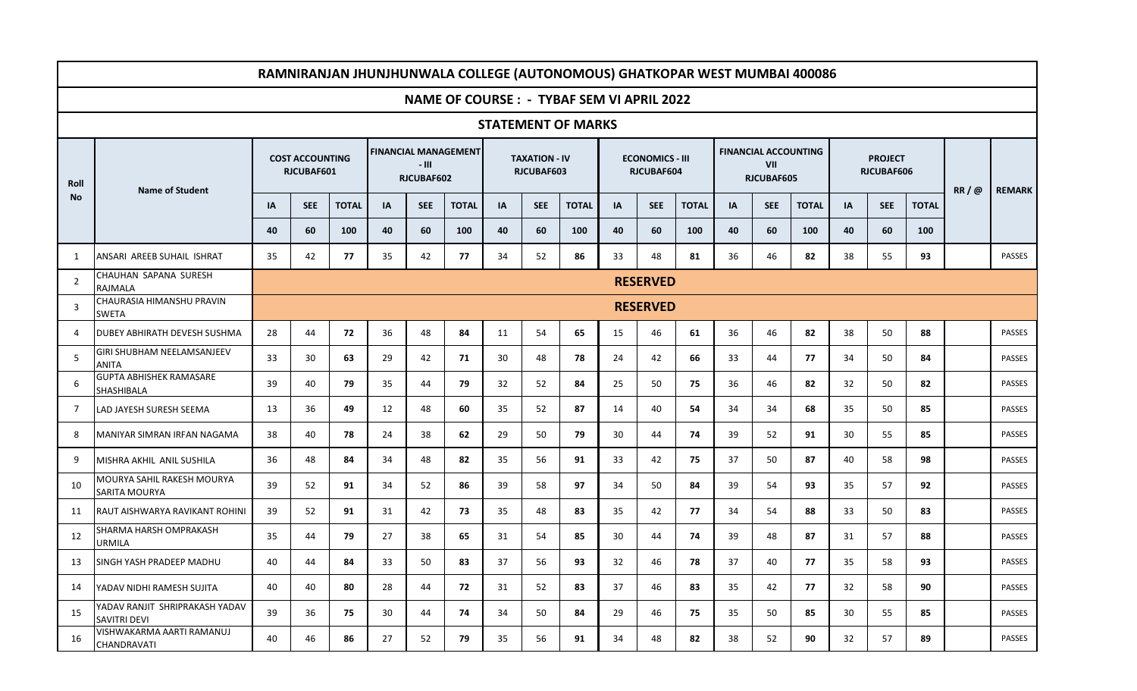|                |                                                       |                 |                                      |              |                                                    |            | RAMNIRANJAN JHUNJHUNWALA COLLEGE (AUTONOMOUS) GHATKOPAR WEST MUMBAI 400086 |    |                                           |              |    |                                      |              |    |                                                  |              |    |                              |              |      |               |
|----------------|-------------------------------------------------------|-----------------|--------------------------------------|--------------|----------------------------------------------------|------------|----------------------------------------------------------------------------|----|-------------------------------------------|--------------|----|--------------------------------------|--------------|----|--------------------------------------------------|--------------|----|------------------------------|--------------|------|---------------|
|                | <b>NAME OF COURSE : - TYBAF SEM VI APRIL 2022</b>     |                 |                                      |              |                                                    |            |                                                                            |    |                                           |              |    |                                      |              |    |                                                  |              |    |                              |              |      |               |
|                | <b>STATEMENT OF MARKS</b>                             |                 |                                      |              |                                                    |            |                                                                            |    |                                           |              |    |                                      |              |    |                                                  |              |    |                              |              |      |               |
| Roll           |                                                       |                 | <b>COST ACCOUNTING</b><br>RJCUBAF601 |              | <b>FINANCIAL MANAGEMENT</b><br>- III<br>RJCUBAF602 |            |                                                                            |    | <b>TAXATION - IV</b><br><b>RJCUBAF603</b> |              |    | <b>ECONOMICS - III</b><br>RJCUBAF604 |              |    | <b>FINANCIAL ACCOUNTING</b><br>VII<br>RJCUBAF605 |              |    | <b>PROJECT</b><br>RJCUBAF606 |              |      | <b>REMARK</b> |
| No             | <b>Name of Student</b>                                | IA              | <b>SEE</b>                           | <b>TOTAL</b> | IA                                                 | <b>SEE</b> | <b>TOTAL</b>                                                               | IA | <b>SEE</b>                                | <b>TOTAL</b> | IA | <b>SEE</b>                           | <b>TOTAL</b> | IA | <b>SEE</b>                                       | <b>TOTAL</b> | IA | <b>SEE</b>                   | <b>TOTAL</b> | RR/@ |               |
|                |                                                       | 40              | 60                                   | 100          | 40                                                 | 60         | 100                                                                        | 40 | 60                                        | 100          | 40 | 60                                   | 100          | 40 | 60                                               | 100          | 40 | 60                           | 100          |      |               |
| 1              | ANSARI AREEB SUHAIL ISHRAT                            | 35              | 42                                   | 77           | 35                                                 | 42         | 77                                                                         | 34 | 52                                        | 86           | 33 | 48                                   | 81           | 36 | 46                                               | 82           | 38 | 55                           | 93           |      | <b>PASSES</b> |
| $\overline{2}$ | CHAUHAN SAPANA SURESH<br><b>RAJMALA</b>               | <b>RESERVED</b> |                                      |              |                                                    |            |                                                                            |    |                                           |              |    |                                      |              |    |                                                  |              |    |                              |              |      |               |
| 3              | CHAURASIA HIMANSHU PRAVIN<br><b>SWETA</b>             |                 | <b>RESERVED</b>                      |              |                                                    |            |                                                                            |    |                                           |              |    |                                      |              |    |                                                  |              |    |                              |              |      |               |
| 4              | DUBEY ABHIRATH DEVESH SUSHMA                          | 28              | 44                                   | 72           | 36                                                 | 48         | 84                                                                         | 11 | 54                                        | 65           | 15 | 46                                   | 61           | 36 | 46                                               | 82           | 38 | 50                           | 88           |      | PASSES        |
| 5              | GIRI SHUBHAM NEELAMSANJEEV<br><b>ANITA</b>            | 33              | 30                                   | 63           | 29                                                 | 42         | 71                                                                         | 30 | 48                                        | 78           | 24 | 42                                   | 66           | 33 | 44                                               | 77           | 34 | 50                           | 84           |      | PASSES        |
| 6              | <b>GUPTA ABHISHEK RAMASARE</b><br>SHASHIBALA          | 39              | 40                                   | 79           | 35                                                 | 44         | 79                                                                         | 32 | 52                                        | 84           | 25 | 50                                   | 75           | 36 | 46                                               | 82           | 32 | 50                           | 82           |      | PASSES        |
| $\overline{7}$ | LAD JAYESH SURESH SEEMA                               | 13              | 36                                   | 49           | 12                                                 | 48         | 60                                                                         | 35 | 52                                        | 87           | 14 | 40                                   | 54           | 34 | 34                                               | 68           | 35 | 50                           | 85           |      | PASSES        |
| 8              | MANIYAR SIMRAN IRFAN NAGAMA                           | 38              | 40                                   | 78           | 24                                                 | 38         | 62                                                                         | 29 | 50                                        | 79           | 30 | 44                                   | 74           | 39 | 52                                               | 91           | 30 | 55                           | 85           |      | PASSES        |
| 9              | MISHRA AKHIL ANIL SUSHILA                             | 36              | 48                                   | 84           | 34                                                 | 48         | 82                                                                         | 35 | 56                                        | 91           | 33 | 42                                   | 75           | 37 | 50                                               | 87           | 40 | 58                           | 98           |      | PASSES        |
| 10             | MOURYA SAHIL RAKESH MOURYA<br>SARITA MOURYA           | 39              | 52                                   | 91           | 34                                                 | 52         | 86                                                                         | 39 | 58                                        | 97           | 34 | 50                                   | 84           | 39 | 54                                               | 93           | 35 | 57                           | 92           |      | <b>PASSES</b> |
| 11             | IRAUT AISHWARYA RAVIKANT ROHINI                       | 39              | 52                                   | 91           | 31                                                 | 42         | 73                                                                         | 35 | 48                                        | 83           | 35 | 42                                   | 77           | 34 | 54                                               | 88           | 33 | 50                           | 83           |      | PASSES        |
| 12             | SHARMA HARSH OMPRAKASH<br>URMILA                      | 35              | 44                                   | 79           | 27                                                 | 38         | 65                                                                         | 31 | 54                                        | 85           | 30 | 44                                   | 74           | 39 | 48                                               | 87           | 31 | 57                           | 88           |      | PASSES        |
| 13             | <b>ISINGH YASH PRADEEP MADHU</b>                      | 40              | 44                                   | 84           | 33                                                 | 50         | 83                                                                         | 37 | 56                                        | 93           | 32 | 46                                   | 78           | 37 | 40                                               | 77           | 35 | 58                           | 93           |      | PASSES        |
| 14             | <b>YADAV NIDHI RAMESH SUJITA</b>                      | 40              | 40                                   | 80           | 28                                                 | 44         | 72                                                                         | 31 | 52                                        | 83           | 37 | 46                                   | 83           | 35 | 42                                               | 77           | 32 | 58                           | 90           |      | PASSES        |
| 15             | YADAV RANJIT SHRIPRAKASH YADAV<br><b>SAVITRI DEVI</b> | 39              | 36                                   | 75           | 30                                                 | 44         | 74                                                                         | 34 | 50                                        | 84           | 29 | 46                                   | 75           | 35 | 50                                               | 85           | 30 | 55                           | 85           |      | <b>PASSES</b> |
| 16             | VISHWAKARMA AARTI RAMANUJ<br>CHANDRAVATI              | 40              | 46                                   | 86           | 27                                                 | 52         | 79                                                                         | 35 | 56                                        | 91           | 34 | 48                                   | 82           | 38 | 52                                               | 90           | 32 | 57                           | 89           |      | PASSES        |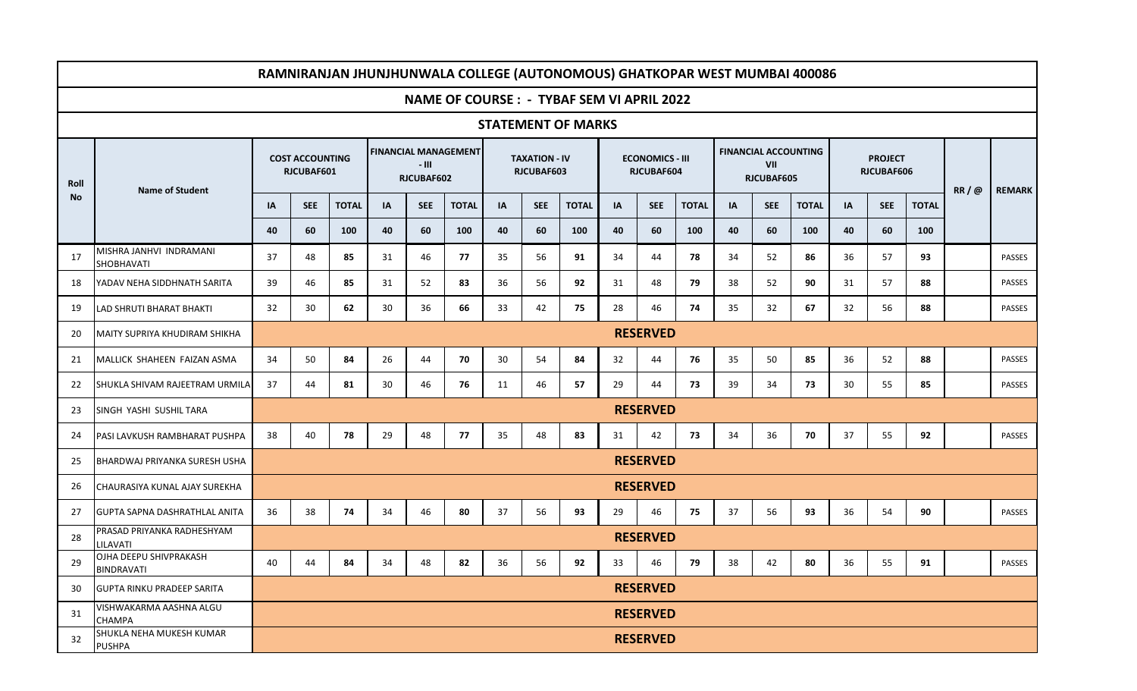|           |                                             |                                      |            | RAMNIRANJAN JHUNJHUNWALA COLLEGE (AUTONOMOUS) GHATKOPAR WEST MUMBAI 400086 |                                                    |            |                                                   |    |                                    |              |    |                                      |              |    |                                                  |              |    |                              |              |      |               |
|-----------|---------------------------------------------|--------------------------------------|------------|----------------------------------------------------------------------------|----------------------------------------------------|------------|---------------------------------------------------|----|------------------------------------|--------------|----|--------------------------------------|--------------|----|--------------------------------------------------|--------------|----|------------------------------|--------------|------|---------------|
|           |                                             |                                      |            |                                                                            |                                                    |            | <b>NAME OF COURSE : - TYBAF SEM VI APRIL 2022</b> |    |                                    |              |    |                                      |              |    |                                                  |              |    |                              |              |      |               |
|           | <b>STATEMENT OF MARKS</b>                   |                                      |            |                                                                            |                                                    |            |                                                   |    |                                    |              |    |                                      |              |    |                                                  |              |    |                              |              |      |               |
| Roll      | <b>Name of Student</b>                      | <b>COST ACCOUNTING</b><br>RJCUBAF601 |            |                                                                            | <b>FINANCIAL MANAGEMENT</b><br>- III<br>RJCUBAF602 |            |                                                   |    | <b>TAXATION - IV</b><br>RJCUBAF603 |              |    | <b>ECONOMICS - III</b><br>RJCUBAF604 |              |    | <b>FINANCIAL ACCOUNTING</b><br>VII<br>RJCUBAF605 |              |    | <b>PROJECT</b><br>RJCUBAF606 |              |      | <b>REMARK</b> |
| <b>No</b> |                                             | IA                                   | <b>SEE</b> | <b>TOTAL</b>                                                               | <b>IA</b>                                          | <b>SEE</b> | <b>TOTAL</b>                                      | IA | <b>SEE</b>                         | <b>TOTAL</b> | IA | <b>SEE</b>                           | <b>TOTAL</b> | IA | <b>SEE</b>                                       | <b>TOTAL</b> | IA | <b>SEE</b>                   | <b>TOTAL</b> | RR/@ |               |
|           |                                             | 40                                   | 60         | 100                                                                        | 40                                                 | 60         | 100                                               | 40 | 60                                 | 100          | 40 | 60                                   | 100          | 40 | 60                                               | 100          | 40 | 60                           | 100          |      |               |
| 17        | MISHRA JANHVI INDRAMANI<br>SHOBHAVATI       | 37                                   | 48         | 85                                                                         | 31                                                 | 46         | 77                                                | 35 | 56                                 | 91           | 34 | 44                                   | 78           | 34 | 52                                               | 86           | 36 | 57                           | 93           |      | PASSES        |
| 18        | YADAV NEHA SIDDHNATH SARITA                 | 39                                   | 46         | 85                                                                         | 31                                                 | 52         | 83                                                | 36 | 56                                 | 92           | 31 | 48                                   | 79           | 38 | 52                                               | 90           | 31 | 57                           | 88           |      | PASSES        |
| 19        | <b>LAD SHRUTI BHARAT BHAKTI</b>             | 32                                   | 30         | 62                                                                         | 30                                                 | 36         | 66                                                | 33 | 42                                 | 75           | 28 | 46                                   | 74           | 35 | 32                                               | 67           | 32 | 56                           | 88           |      | PASSES        |
| 20        | <b>MAITY SUPRIYA KHUDIRAM SHIKHA</b>        | <b>RESERVED</b>                      |            |                                                                            |                                                    |            |                                                   |    |                                    |              |    |                                      |              |    |                                                  |              |    |                              |              |      |               |
| 21        | MALLICK SHAHEEN FAIZAN ASMA                 | 34                                   | 50         | 84                                                                         | 26                                                 | 44         | 70                                                | 30 | 54                                 | 84           | 32 | 44                                   | 76           | 35 | 50                                               | 85           | 36 | 52                           | 88           |      | PASSES        |
| 22        | SHUKLA SHIVAM RAJEETRAM URMILA              | 37                                   | 44         | 81                                                                         | 30                                                 | 46         | 76                                                | 11 | 46                                 | 57           | 29 | 44                                   | 73           | 39 | 34                                               | 73           | 30 | 55                           | 85           |      | PASSES        |
| 23        | SINGH YASHI SUSHIL TARA                     |                                      |            |                                                                            |                                                    |            |                                                   |    |                                    |              |    | <b>RESERVED</b>                      |              |    |                                                  |              |    |                              |              |      |               |
| 24        | PASI LAVKUSH RAMBHARAT PUSHPA               | 38                                   | 40         | 78                                                                         | 29                                                 | 48         | 77                                                | 35 | 48                                 | 83           | 31 | 42                                   | 73           | 34 | 36                                               | 70           | 37 | 55                           | 92           |      | <b>PASSES</b> |
| 25        | BHARDWAJ PRIYANKA SURESH USHA               |                                      |            |                                                                            |                                                    |            |                                                   |    |                                    |              |    | <b>RESERVED</b>                      |              |    |                                                  |              |    |                              |              |      |               |
| 26        | CHAURASIYA KUNAL AJAY SUREKHA               |                                      |            |                                                                            |                                                    |            |                                                   |    |                                    |              |    | <b>RESERVED</b>                      |              |    |                                                  |              |    |                              |              |      |               |
| 27        | <b>GUPTA SAPNA DASHRATHLAL ANITA</b>        | 36                                   | 38         | 74                                                                         | 34                                                 | 46         | 80                                                | 37 | 56                                 | 93           | 29 | 46                                   | 75           | 37 | 56                                               | 93           | 36 | 54                           | 90           |      | <b>PASSES</b> |
| 28        | PRASAD PRIYANKA RADHESHYAM<br>LILAVATI      |                                      |            |                                                                            |                                                    |            |                                                   |    |                                    |              |    | <b>RESERVED</b>                      |              |    |                                                  |              |    |                              |              |      |               |
| 29        | OJHA DEEPU SHIVPRAKASH<br><b>BINDRAVATI</b> | 40                                   | 44         | 84                                                                         | 34                                                 | 48         | 82                                                | 36 | 56                                 | 92           | 33 | 46                                   | 79           | 38 | 42                                               | 80           | 36 | 55                           | 91           |      | PASSES        |
| 30        | <b>GUPTA RINKU PRADEEP SARITA</b>           |                                      |            |                                                                            |                                                    |            |                                                   |    |                                    |              |    | <b>RESERVED</b>                      |              |    |                                                  |              |    |                              |              |      |               |
| 31        | VISHWAKARMA AASHNA ALGU<br><b>CHAMPA</b>    |                                      |            |                                                                            |                                                    |            |                                                   |    |                                    |              |    | <b>RESERVED</b>                      |              |    |                                                  |              |    |                              |              |      |               |
| 32        | SHUKLA NEHA MUKESH KUMAR<br><b>PUSHPA</b>   |                                      |            |                                                                            |                                                    |            |                                                   |    |                                    |              |    | <b>RESERVED</b>                      |              |    |                                                  |              |    |                              |              |      |               |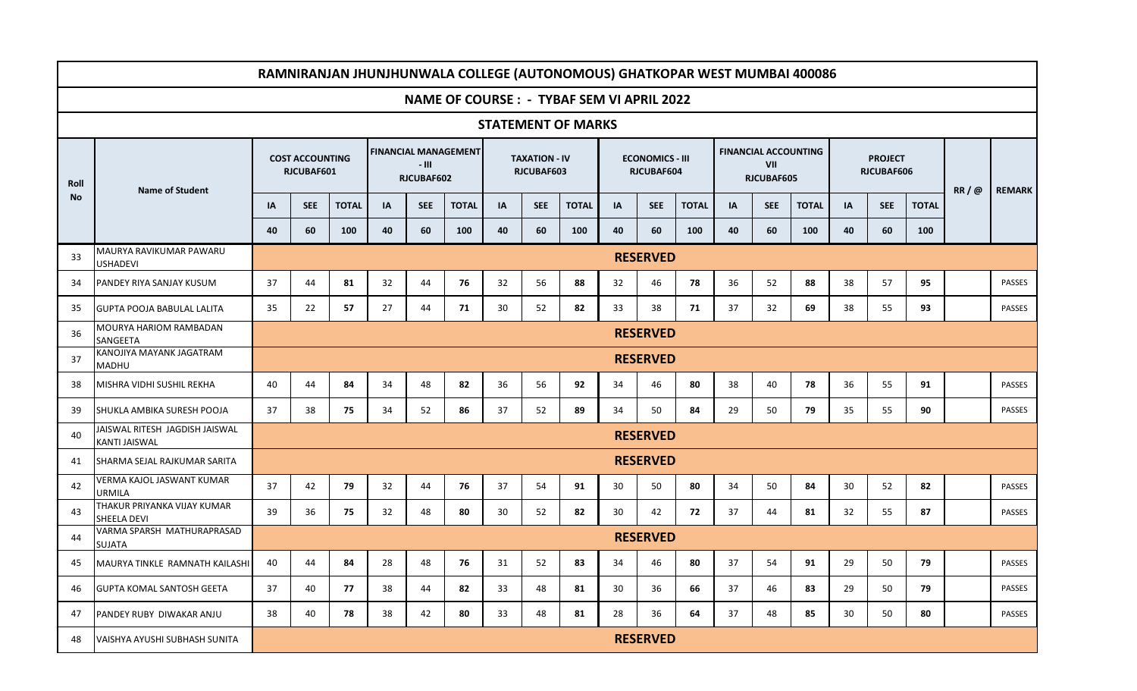|                           | RAMNIRANJAN JHUNJHUNWALA COLLEGE (AUTONOMOUS) GHATKOPAR WEST MUMBAI 400086 |                 |                                      |              |    |                     |                             |    |                                    |              |    |                                      |              |    |                   |                             |    |                              |              |      |               |
|---------------------------|----------------------------------------------------------------------------|-----------------|--------------------------------------|--------------|----|---------------------|-----------------------------|----|------------------------------------|--------------|----|--------------------------------------|--------------|----|-------------------|-----------------------------|----|------------------------------|--------------|------|---------------|
|                           | <b>NAME OF COURSE : - TYBAF SEM VI APRIL 2022</b>                          |                 |                                      |              |    |                     |                             |    |                                    |              |    |                                      |              |    |                   |                             |    |                              |              |      |               |
| <b>STATEMENT OF MARKS</b> |                                                                            |                 |                                      |              |    |                     |                             |    |                                    |              |    |                                      |              |    |                   |                             |    |                              |              |      |               |
| Roll                      |                                                                            |                 | <b>COST ACCOUNTING</b><br>RJCUBAF601 |              |    | - 111<br>RJCUBAF602 | <b>FINANCIAL MANAGEMENT</b> |    | <b>TAXATION - IV</b><br>RJCUBAF603 |              |    | <b>ECONOMICS - III</b><br>RJCUBAF604 |              |    | VII<br>RJCUBAF605 | <b>FINANCIAL ACCOUNTING</b> |    | <b>PROJECT</b><br>RJCUBAF606 |              | RR/@ | <b>REMARK</b> |
| No                        | <b>Name of Student</b>                                                     | IA              | <b>SEE</b>                           | <b>TOTAL</b> | IA | <b>SEE</b>          | <b>TOTAL</b>                | IA | <b>SEE</b>                         | <b>TOTAL</b> | IA | <b>SEE</b>                           | <b>TOTAL</b> | IA | <b>SEE</b>        | <b>TOTAL</b>                | IA | <b>SEE</b>                   | <b>TOTAL</b> |      |               |
|                           |                                                                            | 40              | 60                                   | 100          | 40 | 60                  | 100                         | 40 | 60                                 | 100          | 40 | 60                                   | 100          | 40 | 60                | 100                         | 40 | 60                           | 100          |      |               |
| 33                        | MAURYA RAVIKUMAR PAWARU<br><b>USHADEVI</b>                                 | <b>RESERVED</b> |                                      |              |    |                     |                             |    |                                    |              |    |                                      |              |    |                   |                             |    |                              |              |      |               |
| 34                        | PANDEY RIYA SANJAY KUSUM                                                   | 37              | 44                                   | 81           | 32 | 44                  | 76                          | 32 | 56                                 | 88           | 32 | 46                                   | 78           | 36 | 52                | 88                          | 38 | 57                           | 95           |      | <b>PASSES</b> |
| 35                        | <b>IGUPTA POOJA BABULAL LALITA</b>                                         | 35              | 22                                   | 57           | 27 | 44                  | 71                          | 30 | 52                                 | 82           | 33 | 38                                   | 71           | 37 | 32                | 69                          | 38 | 55                           | 93           |      | <b>PASSES</b> |
| 36                        | MOURYA HARIOM RAMBADAN<br>SANGEETA                                         | <b>RESERVED</b> |                                      |              |    |                     |                             |    |                                    |              |    |                                      |              |    |                   |                             |    |                              |              |      |               |
| 37                        | KANOJIYA MAYANK JAGATRAM<br>MADHU                                          | <b>RESERVED</b> |                                      |              |    |                     |                             |    |                                    |              |    |                                      |              |    |                   |                             |    |                              |              |      |               |
| 38                        | MISHRA VIDHI SUSHIL REKHA                                                  | 40              | 44                                   | 84           | 34 | 48                  | 82                          | 36 | 56                                 | 92           | 34 | 46                                   | 80           | 38 | 40                | 78                          | 36 | 55                           | 91           |      | <b>PASSES</b> |
| 39                        | SHUKLA AMBIKA SURESH POOJA                                                 | 37              | 38                                   | 75           | 34 | 52                  | 86                          | 37 | 52                                 | 89           | 34 | 50                                   | 84           | 29 | 50                | 79                          | 35 | 55                           | 90           |      | <b>PASSES</b> |
| 40                        | JAISWAL RITESH JAGDISH JAISWAL<br>KANTI JAISWAL                            |                 |                                      |              |    |                     |                             |    |                                    |              |    | <b>RESERVED</b>                      |              |    |                   |                             |    |                              |              |      |               |
| 41                        | SHARMA SEJAL RAJKUMAR SARITA                                               |                 |                                      |              |    |                     |                             |    |                                    |              |    | <b>RESERVED</b>                      |              |    |                   |                             |    |                              |              |      |               |
| 42                        | VERMA KAJOL JASWANT KUMAR<br><b>URMILA</b>                                 | 37              | 42                                   | 79           | 32 | 44                  | 76                          | 37 | 54                                 | 91           | 30 | 50                                   | 80           | 34 | 50                | 84                          | 30 | 52                           | 82           |      | <b>PASSES</b> |
| 43                        | THAKUR PRIYANKA VIJAY KUMAR<br><b>SHEELA DEVI</b>                          | 39              | 36                                   | 75           | 32 | 48                  | 80                          | 30 | 52                                 | 82           | 30 | 42                                   | 72           | 37 | 44                | 81                          | 32 | 55                           | 87           |      | <b>PASSES</b> |
| 44                        | VARMA SPARSH MATHURAPRASAD<br><b>SUJATA</b>                                |                 |                                      |              |    |                     |                             |    |                                    |              |    | <b>RESERVED</b>                      |              |    |                   |                             |    |                              |              |      |               |
| 45                        | MAURYA TINKLE RAMNATH KAILASHI                                             | 40              | 44                                   | 84           | 28 | 48                  | 76                          | 31 | 52                                 | 83           | 34 | 46                                   | 80           | 37 | 54                | 91                          | 29 | 50                           | 79           |      | PASSES        |
| 46                        | <b>GUPTA KOMAL SANTOSH GEETA</b>                                           | 37              | 40                                   | 77           | 38 | 44                  | 82                          | 33 | 48                                 | 81           | 30 | 36                                   | 66           | 37 | 46                | 83                          | 29 | 50                           | 79           |      | PASSES        |
| 47                        | PANDEY RUBY DIWAKAR ANJU                                                   | 38              | 40                                   | 78           | 38 | 42                  | 80                          | 33 | 48                                 | 81           | 28 | 36                                   | 64           | 37 | 48                | 85                          | 30 | 50                           | 80           |      | PASSES        |
| 48                        | <b>VAISHYA AYUSHI SUBHASH SUNITA</b>                                       |                 |                                      |              |    |                     |                             |    |                                    |              |    | <b>RESERVED</b>                      |              |    |                   |                             |    |                              |              |      |               |